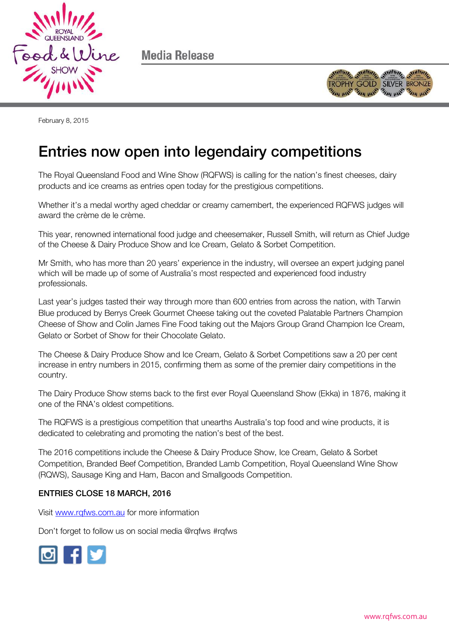

Media Release



February 8, 2015

## Entries now open into legendairy competitions

The Royal Queensland Food and Wine Show (RQFWS) is calling for the nation's finest cheeses, dairy products and ice creams as entries open today for the prestigious competitions.

Whether it's a medal worthy aged cheddar or creamy camembert, the experienced RQFWS judges will award the crème de le crème.

This year, renowned international food judge and cheesemaker, Russell Smith, will return as Chief Judge of the Cheese & Dairy Produce Show and Ice Cream, Gelato & Sorbet Competition.

Mr Smith, who has more than 20 years' experience in the industry, will oversee an expert judging panel which will be made up of some of Australia's most respected and experienced food industry professionals.

Last year's judges tasted their way through more than 600 entries from across the nation, with Tarwin Blue produced by Berrys Creek Gourmet Cheese taking out the coveted Palatable Partners Champion Cheese of Show and Colin James Fine Food taking out the Majors Group Grand Champion Ice Cream, Gelato or Sorbet of Show for their Chocolate Gelato.

The Cheese & Dairy Produce Show and Ice Cream, Gelato & Sorbet Competitions saw a 20 per cent increase in entry numbers in 2015, confirming them as some of the premier dairy competitions in the country.

The Dairy Produce Show stems back to the first ever Royal Queensland Show (Ekka) in 1876, making it one of the RNA's oldest competitions.

The RQFWS is a prestigious competition that unearths Australia's top food and wine products, it is dedicated to celebrating and promoting the nation's best of the best.

The 2016 competitions include the Cheese & Dairy Produce Show, Ice Cream, Gelato & Sorbet Competition, Branded Beef Competition, Branded Lamb Competition, Royal Queensland Wine Show (RQWS), Sausage King and Ham, Bacon and Smallgoods Competition.

## ENTRIES CLOSE 18 MARCH, 2016

Visit [www.rqfws.com.au](http://www.rqfws.com.au/) for more information

Don't forget to follow us on social media @rqfws #rqfws